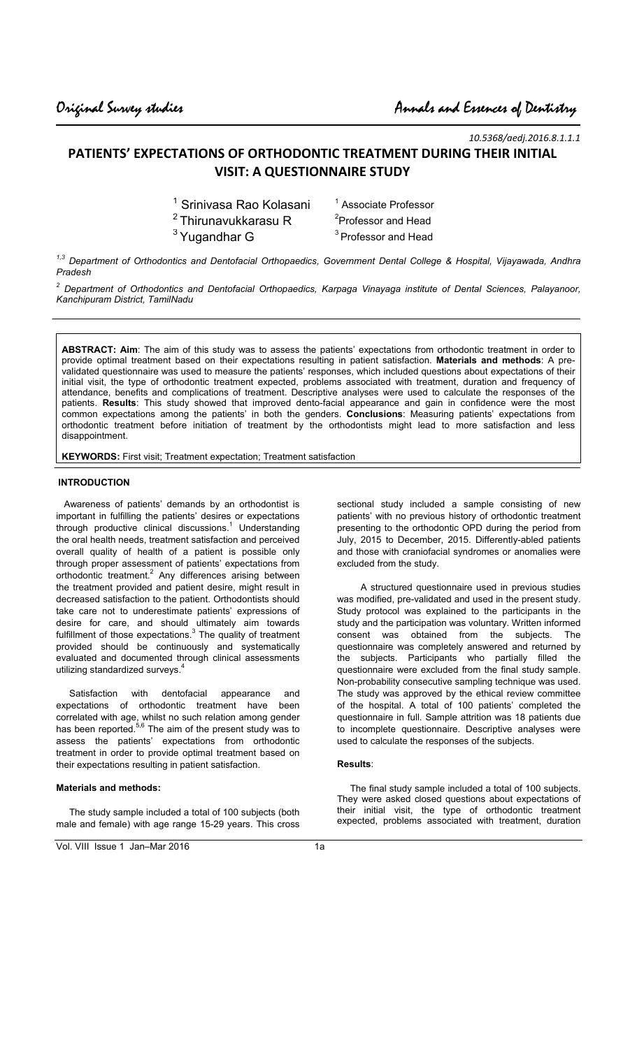*10.5368/aedj.2016.8.1.1.1* 

# **PATIENTS' EXPECTATIONS OF ORTHODONTIC TREATMENT DURING THEIR INITIAL VISIT: A QUESTIONNAIRE STUDY**

| <sup>1</sup> Srinivasa Rao Kolasani | <sup>1</sup> Associate Professor |
|-------------------------------------|----------------------------------|
|                                     |                                  |

- $^2$ Thirunavukkarasu R $^2$
- $3$  Yugandhar G

<sup>2</sup>Professor and Head <sup>3</sup> Professor and Head

*1,3 Department of Orthodontics and Dentofacial Orthopaedics, Government Dental College & Hospital, Vijayawada, Andhra Pradesh* 

*2 Department of Orthodontics and Dentofacial Orthopaedics, Karpaga Vinayaga institute of Dental Sciences, Palayanoor, Kanchipuram District, TamilNadu* 

**ABSTRACT: Aim**: The aim of this study was to assess the patients' expectations from orthodontic treatment in order to provide optimal treatment based on their expectations resulting in patient satisfaction. **Materials and methods**: A prevalidated questionnaire was used to measure the patients' responses, which included questions about expectations of their initial visit, the type of orthodontic treatment expected, problems associated with treatment, duration and frequency of attendance, benefits and complications of treatment. Descriptive analyses were used to calculate the responses of the patients. **Results**: This study showed that improved dento-facial appearance and gain in confidence were the most common expectations among the patients' in both the genders. **Conclusions**: Measuring patients' expectations from orthodontic treatment before initiation of treatment by the orthodontists might lead to more satisfaction and less disappointment.

**KEYWORDS:** First visit; Treatment expectation; Treatment satisfaction

# **INTRODUCTION**

 Awareness of patients' demands by an orthodontist is important in fulfilling the patients' desires or expectations through productive clinical discussions.<sup>1</sup> Understanding the oral health needs, treatment satisfaction and perceived overall quality of health of a patient is possible only through proper assessment of patients' expectations from orthodontic treatment.<sup>2</sup> Any differences arising between the treatment provided and patient desire, might result in decreased satisfaction to the patient. Orthodontists should take care not to underestimate patients' expressions of desire for care, and should ultimately aim towards fulfillment of those expectations. $3$  The quality of treatment provided should be continuously and systematically evaluated and documented through clinical assessments utilizing standardized surveys.<sup>4</sup>

 Satisfaction with dentofacial appearance and expectations of orthodontic treatment have been correlated with age, whilst no such relation among gender has been reported.<sup>5,6</sup> The aim of the present study was to assess the patients' expectations from orthodontic treatment in order to provide optimal treatment based on their expectations resulting in patient satisfaction.

### **Materials and methods:**

 The study sample included a total of 100 subjects (both male and female) with age range 15-29 years. This cross

Vol. VIII Issue 1 Jan–Mar 2016

sectional study included a sample consisting of new patients' with no previous history of orthodontic treatment presenting to the orthodontic OPD during the period from July, 2015 to December, 2015. Differently-abled patients and those with craniofacial syndromes or anomalies were excluded from the study.

 A structured questionnaire used in previous studies was modified, pre-validated and used in the present study. Study protocol was explained to the participants in the study and the participation was voluntary. Written informed consent was obtained from the subjects. The questionnaire was completely answered and returned by the subjects. Participants who partially filled the questionnaire were excluded from the final study sample. Non-probability consecutive sampling technique was used. The study was approved by the ethical review committee of the hospital. A total of 100 patients' completed the questionnaire in full. Sample attrition was 18 patients due to incomplete questionnaire. Descriptive analyses were used to calculate the responses of the subjects.

### **Results**:

 The final study sample included a total of 100 subjects. They were asked closed questions about expectations of their initial visit, the type of orthodontic treatment expected, problems associated with treatment, duration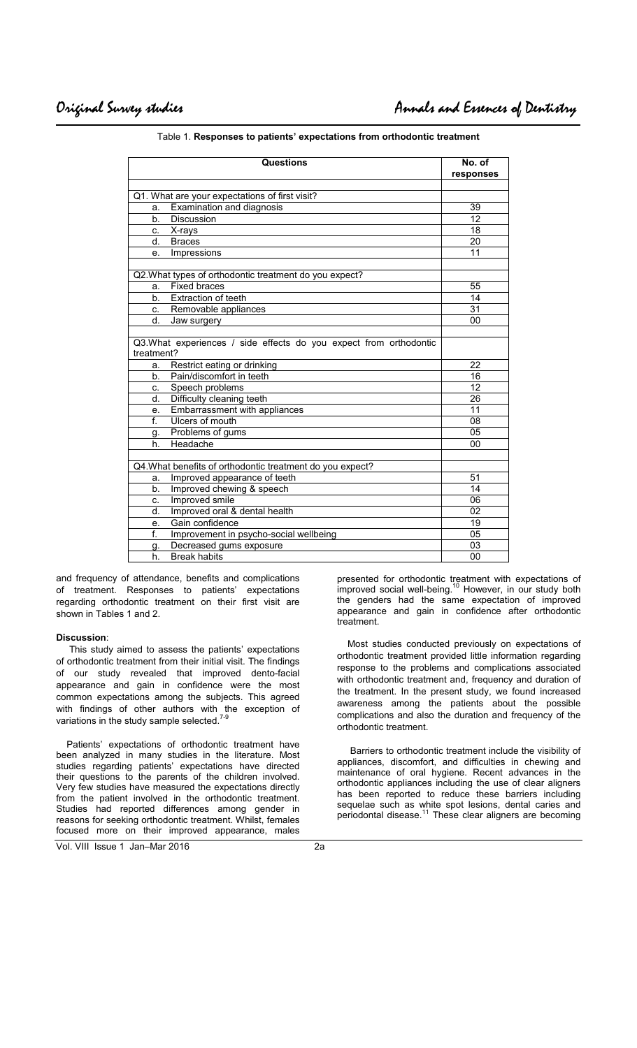| Questions                                                                        | No. of<br>responses |
|----------------------------------------------------------------------------------|---------------------|
|                                                                                  |                     |
| Q1. What are your expectations of first visit?                                   |                     |
| Examination and diagnosis<br>a.                                                  | 39                  |
| b.<br>Discussion                                                                 | 12                  |
| X-rays<br>c.                                                                     | 18                  |
| d.<br><b>Braces</b>                                                              | 20                  |
| Impressions<br>e.                                                                | 11                  |
|                                                                                  |                     |
| Q2. What types of orthodontic treatment do you expect?                           |                     |
| <b>Fixed braces</b><br>a.                                                        | 55                  |
| Extraction of teeth<br>b.                                                        | 14                  |
| c. Removable appliances                                                          | 31                  |
| d.<br>Jaw surgery                                                                | 00                  |
|                                                                                  |                     |
| Q3. What experiences / side effects do you expect from orthodontic<br>treatment? |                     |
| Restrict eating or drinking<br>a.                                                | 22                  |
| Pain/discomfort in teeth<br>b.                                                   | 16                  |
| Speech problems<br>C.                                                            | $\overline{12}$     |
| d.<br>Difficulty cleaning teeth                                                  | 26                  |
| Embarrassment with appliances<br>е.                                              | 11                  |
| f.<br>Ulcers of mouth                                                            | 08                  |
| Problems of gums<br>g.                                                           | 05                  |
| Headache<br>h.                                                                   | 00                  |
|                                                                                  |                     |
| Q4. What benefits of orthodontic treatment do you expect?                        |                     |
| Improved appearance of teeth<br>a.                                               | 51                  |
| Improved chewing & speech<br>b.                                                  | 14                  |
| Improved smile<br>C.                                                             | 06                  |
| Improved oral & dental health<br>d.                                              | 02                  |
| Gain confidence<br>е.                                                            | 19                  |
| $\overline{f}$ .<br>Improvement in psycho-social wellbeing                       | 05                  |
| Decreased gums exposure<br>g.                                                    | 03                  |
| <b>Break habits</b><br>h.                                                        | 00                  |

Table 1. **Responses to patients' expectations from orthodontic treatment** 

and frequency of attendance, benefits and complications of treatment. Responses to patients' expectations regarding orthodontic treatment on their first visit are shown in Tables 1 and 2.

#### **Discussion**:

 This study aimed to assess the patients' expectations of orthodontic treatment from their initial visit. The findings of our study revealed that improved dento-facial appearance and gain in confidence were the most common expectations among the subjects. This agreed with findings of other authors with the exception of variations in the study sample selected. $7$ 

 Patients' expectations of orthodontic treatment have been analyzed in many studies in the literature. Most studies regarding patients' expectations have directed their questions to the parents of the children involved. Very few studies have measured the expectations directly from the patient involved in the orthodontic treatment. Studies had reported differences among gender in reasons for seeking orthodontic treatment. Whilst, females focused more on their improved appearance, males

Vol. VIII Issue 1 Jan–Mar 2016 2a

presented for orthodontic treatment with expectations of improved social well-being.<sup>10</sup> However, in our study both the genders had the same expectation of improved appearance and gain in confidence after orthodontic treatment.

 Most studies conducted previously on expectations of orthodontic treatment provided little information regarding response to the problems and complications associated with orthodontic treatment and, frequency and duration of the treatment. In the present study, we found increased awareness among the patients about the possible complications and also the duration and frequency of the orthodontic treatment.

 Barriers to orthodontic treatment include the visibility of appliances, discomfort, and difficulties in chewing and maintenance of oral hygiene. Recent advances in the orthodontic appliances including the use of clear aligners has been reported to reduce these barriers including sequelae such as white spot lesions, dental caries and periodontal disease.<sup>11</sup> These clear aligners are becoming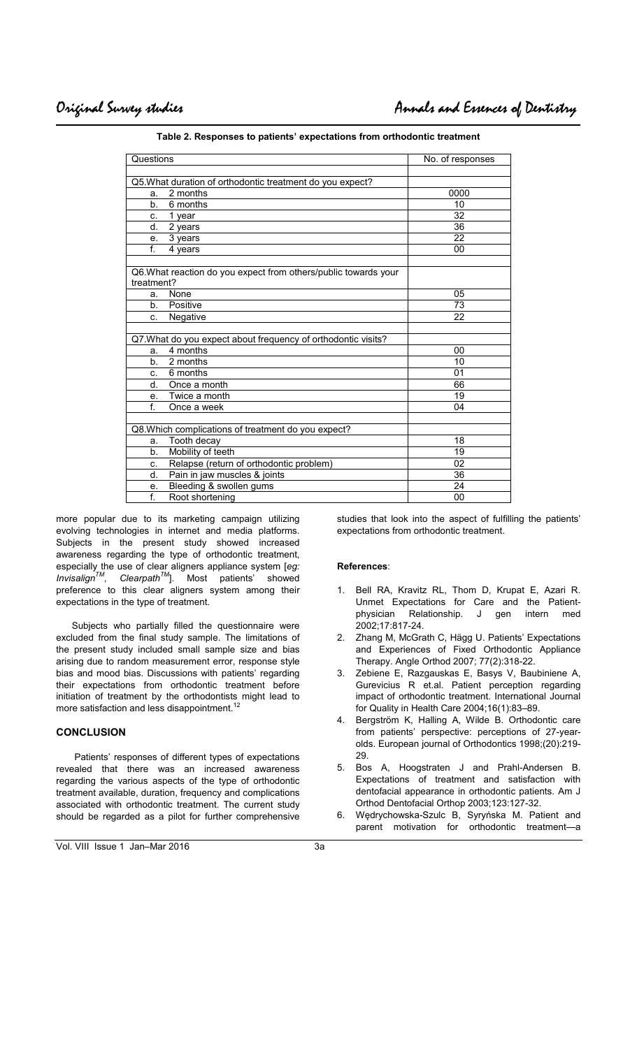| Questions                                                       | No. of responses |
|-----------------------------------------------------------------|------------------|
|                                                                 |                  |
| Q5. What duration of orthodontic treatment do you expect?       |                  |
| 2 months<br>a.                                                  | 0000             |
| 6 months<br>b <sub>1</sub>                                      | 10               |
| 1 year<br>C.                                                    | 32               |
| d.<br>2 years                                                   | $\overline{36}$  |
| 3 years<br>e.                                                   | 22               |
| $f_{\rm{L}}$<br>4 years                                         | 00               |
|                                                                 |                  |
| Q6. What reaction do you expect from others/public towards your |                  |
| treatment?                                                      |                  |
| None<br>a.                                                      | 05               |
| Positive<br>$b_{1}$                                             | 73               |
| Negative<br>C.                                                  | 22               |
|                                                                 |                  |
| Q7. What do you expect about frequency of orthodontic visits?   |                  |
| 4 months<br>a.                                                  | 00               |
| 2 months<br>b <sub>1</sub>                                      | 10               |
| 6 months<br>C.                                                  | 01               |
| Once a month<br>d.                                              | 66               |
| Twice a month<br>e.                                             | 19               |
| f.<br>Once a week                                               | 04               |
|                                                                 |                  |
| Q8. Which complications of treatment do you expect?             |                  |
| Tooth decay<br>a.                                               | 18               |
| Mobility of teeth<br>b <sub>1</sub>                             | 19               |
| Relapse (return of orthodontic problem)<br>C.                   | 02               |
| Pain in jaw muscles & joints<br>d.                              | 36               |
| Bleeding & swollen gums<br>е.                                   | 24               |
| f.<br>Root shortening                                           | 00               |

**Table 2. Responses to patients' expectations from orthodontic treatment** 

more popular due to its marketing campaign utilizing evolving technologies in internet and media platforms. Subjects in the present study showed increased awareness regarding the type of orthodontic treatment, especially the use of clear aligners appliance system [*eg: InvisalignTM, ClearpathTM*]. Most patients' showed preference to this clear aligners system among their expectations in the type of treatment.

 Subjects who partially filled the questionnaire were excluded from the final study sample. The limitations of the present study included small sample size and bias arising due to random measurement error, response style bias and mood bias. Discussions with patients' regarding their expectations from orthodontic treatment before initiation of treatment by the orthodontists might lead to more satisfaction and less disappointment.<sup>12</sup>

## **CONCLUSION**

 Patients' responses of different types of expectations revealed that there was an increased awareness regarding the various aspects of the type of orthodontic treatment available, duration, frequency and complications associated with orthodontic treatment. The current study should be regarded as a pilot for further comprehensive studies that look into the aspect of fulfilling the patients' expectations from orthodontic treatment.

#### **References**:

- Bell RA, Kravitz RL, Thom D, Krupat E, Azari R. Unmet Expectations for Care and the Patient-<br>physician Relationship. J gen intern med physician Relationship. J gen intern med 2002;17:817-24.
- 2. Zhang M, McGrath C, Hägg U. Patients' Expectations and Experiences of Fixed Orthodontic Appliance Therapy. Angle Orthod 2007; 77(2):318-22.
- 3. Zebiene E, Razgauskas E, Basys V, Baubiniene A, Gurevicius R et.al. Patient perception regarding impact of orthodontic treatment. International Journal for Quality in Health Care 2004;16(1):83–89.
- 4. Bergström K, Halling A, Wilde B. Orthodontic care from patients' perspective: perceptions of 27-yearolds. European journal of Orthodontics 1998;(20):219- 29.
- 5. Bos A, Hoogstraten J and Prahl-Andersen B. Expectations of treatment and satisfaction with dentofacial appearance in orthodontic patients. Am J Orthod Dentofacial Orthop 2003;123:127-32.
- 6. Wędrychowska-Szulc B, Syryńska M. Patient and parent motivation for orthodontic treatment—a